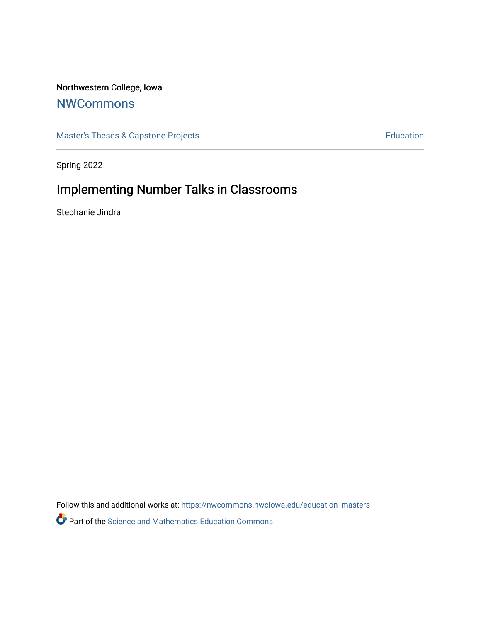### Northwestern College, Iowa

# **[NWCommons](https://nwcommons.nwciowa.edu/)**

[Master's Theses & Capstone Projects](https://nwcommons.nwciowa.edu/education_masters) **Education** Education

Spring 2022

# Implementing Number Talks in Classrooms

Stephanie Jindra

Follow this and additional works at: [https://nwcommons.nwciowa.edu/education\\_masters](https://nwcommons.nwciowa.edu/education_masters?utm_source=nwcommons.nwciowa.edu%2Feducation_masters%2F393&utm_medium=PDF&utm_campaign=PDFCoverPages)

Part of the [Science and Mathematics Education Commons](https://network.bepress.com/hgg/discipline/800?utm_source=nwcommons.nwciowa.edu%2Feducation_masters%2F393&utm_medium=PDF&utm_campaign=PDFCoverPages)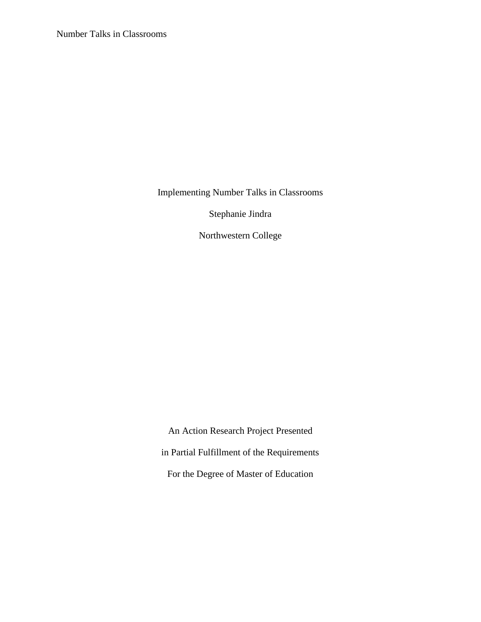Number Talks in Classrooms

Implementing Number Talks in Classrooms

Stephanie Jindra

Northwestern College

An Action Research Project Presented in Partial Fulfillment of the Requirements For the Degree of Master of Education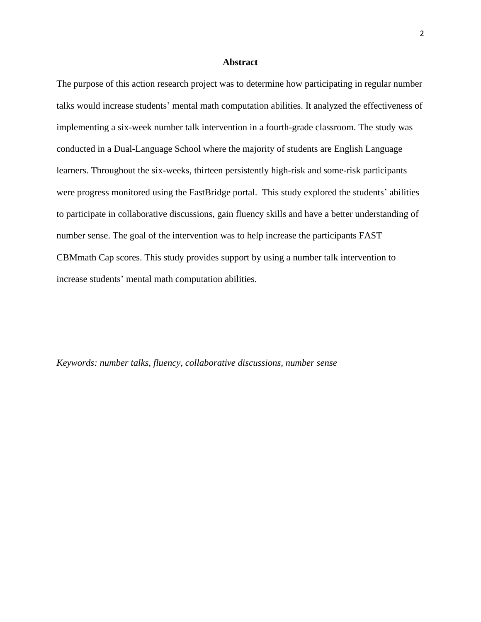#### **Abstract**

<span id="page-2-0"></span>The purpose of this action research project was to determine how participating in regular number talks would increase students' mental math computation abilities. It analyzed the effectiveness of implementing a six-week number talk intervention in a fourth-grade classroom. The study was conducted in a Dual-Language School where the majority of students are English Language learners. Throughout the six-weeks, thirteen persistently high-risk and some-risk participants were progress monitored using the FastBridge portal. This study explored the students' abilities to participate in collaborative discussions, gain fluency skills and have a better understanding of number sense. The goal of the intervention was to help increase the participants FAST CBMmath Cap scores. This study provides support by using a number talk intervention to increase students' mental math computation abilities.

*Keywords: number talks, fluency, collaborative discussions, number sense*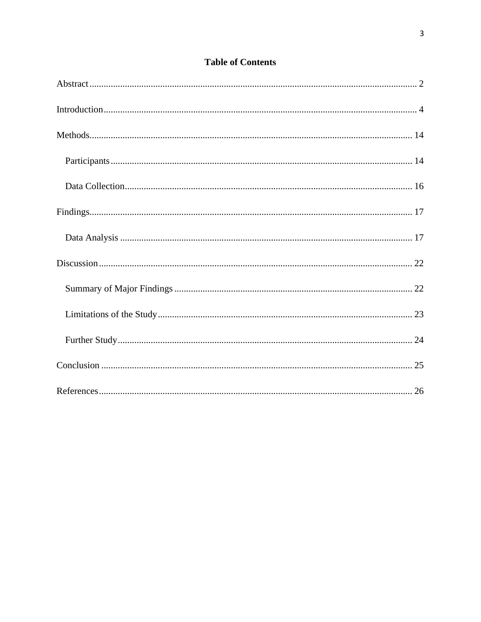### **Table of Contents**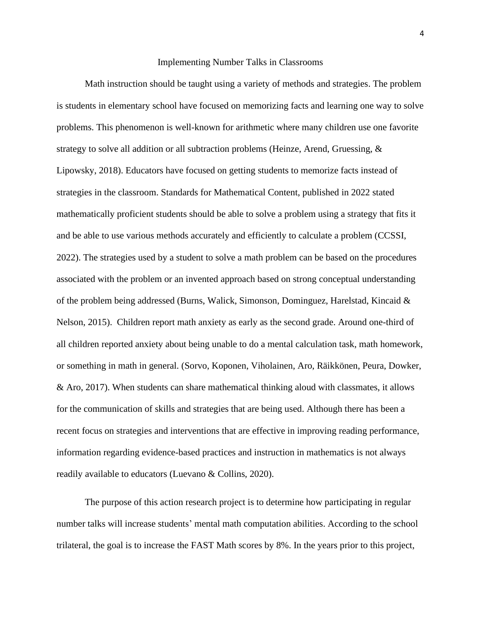#### Implementing Number Talks in Classrooms

<span id="page-4-0"></span>Math instruction should be taught using a variety of methods and strategies. The problem is students in elementary school have focused on memorizing facts and learning one way to solve problems. This phenomenon is well-known for arithmetic where many children use one favorite strategy to solve all addition or all subtraction problems (Heinze, Arend, Gruessing, & Lipowsky, 2018). Educators have focused on getting students to memorize facts instead of strategies in the classroom. Standards for Mathematical Content, published in 2022 stated mathematically proficient students should be able to solve a problem using a strategy that fits it and be able to use various methods accurately and efficiently to calculate a problem (CCSSI, 2022). The strategies used by a student to solve a math problem can be based on the procedures associated with the problem or an invented approach based on strong conceptual understanding of the problem being addressed (Burns, Walick, Simonson, Dominguez, Harelstad, Kincaid & Nelson, 2015). Children report math anxiety as early as the second grade. Around one-third of all children reported anxiety about being unable to do a mental calculation task, math homework, or something in math in general. (Sorvo, Koponen, Viholainen, Aro, Räikkönen, Peura, Dowker, & Aro, 2017). When students can share mathematical thinking aloud with classmates, it allows for the communication of skills and strategies that are being used. Although there has been a recent focus on strategies and interventions that are effective in improving reading performance, information regarding evidence-based practices and instruction in mathematics is not always readily available to educators (Luevano & Collins, 2020).

The purpose of this action research project is to determine how participating in regular number talks will increase students' mental math computation abilities. According to the school trilateral, the goal is to increase the FAST Math scores by 8%. In the years prior to this project,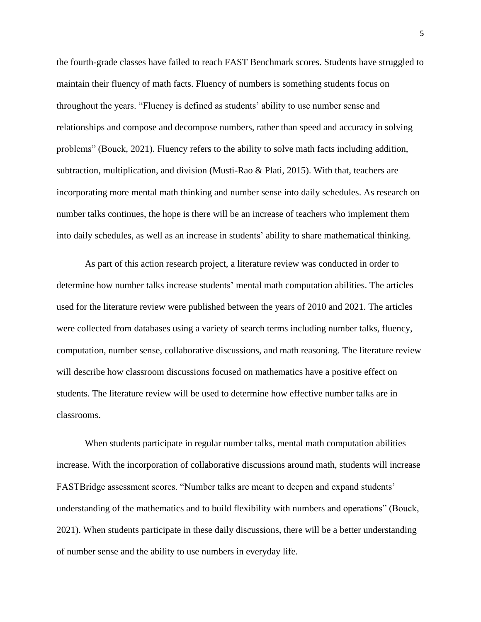the fourth-grade classes have failed to reach FAST Benchmark scores. Students have struggled to maintain their fluency of math facts. Fluency of numbers is something students focus on throughout the years. "Fluency is defined as students' ability to use number sense and relationships and compose and decompose numbers, rather than speed and accuracy in solving problems" (Bouck, 2021). Fluency refers to the ability to solve math facts including addition, subtraction, multiplication, and division (Musti-Rao & Plati, 2015). With that, teachers are incorporating more mental math thinking and number sense into daily schedules. As research on number talks continues, the hope is there will be an increase of teachers who implement them into daily schedules, as well as an increase in students' ability to share mathematical thinking.

As part of this action research project, a literature review was conducted in order to determine how number talks increase students' mental math computation abilities. The articles used for the literature review were published between the years of 2010 and 2021. The articles were collected from databases using a variety of search terms including number talks, fluency, computation, number sense, collaborative discussions, and math reasoning. The literature review will describe how classroom discussions focused on mathematics have a positive effect on students. The literature review will be used to determine how effective number talks are in classrooms.

When students participate in regular number talks, mental math computation abilities increase. With the incorporation of collaborative discussions around math, students will increase FASTBridge assessment scores. "Number talks are meant to deepen and expand students' understanding of the mathematics and to build flexibility with numbers and operations" (Bouck, 2021). When students participate in these daily discussions, there will be a better understanding of number sense and the ability to use numbers in everyday life.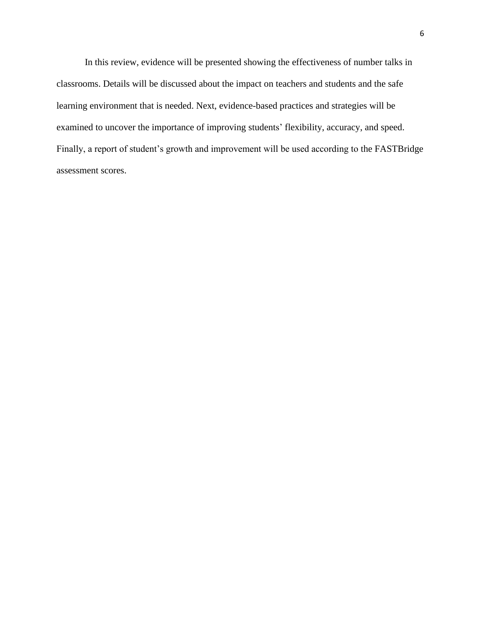In this review, evidence will be presented showing the effectiveness of number talks in classrooms. Details will be discussed about the impact on teachers and students and the safe learning environment that is needed. Next, evidence-based practices and strategies will be examined to uncover the importance of improving students' flexibility, accuracy, and speed. Finally, a report of student's growth and improvement will be used according to the FASTBridge assessment scores.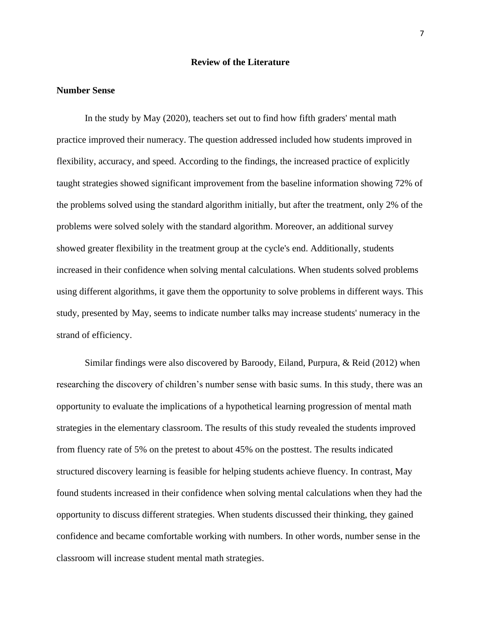#### **Review of the Literature**

#### **Number Sense**

In the study by May (2020), teachers set out to find how fifth graders' mental math practice improved their numeracy. The question addressed included how students improved in flexibility, accuracy, and speed. According to the findings, the increased practice of explicitly taught strategies showed significant improvement from the baseline information showing 72% of the problems solved using the standard algorithm initially, but after the treatment, only 2% of the problems were solved solely with the standard algorithm. Moreover, an additional survey showed greater flexibility in the treatment group at the cycle's end. Additionally, students increased in their confidence when solving mental calculations. When students solved problems using different algorithms, it gave them the opportunity to solve problems in different ways. This study, presented by May, seems to indicate number talks may increase students' numeracy in the strand of efficiency.

Similar findings were also discovered by Baroody, Eiland, Purpura, & Reid (2012) when researching the discovery of children's number sense with basic sums. In this study, there was an opportunity to evaluate the implications of a hypothetical learning progression of mental math strategies in the elementary classroom. The results of this study revealed the students improved from fluency rate of 5% on the pretest to about 45% on the posttest. The results indicated structured discovery learning is feasible for helping students achieve fluency. In contrast, May found students increased in their confidence when solving mental calculations when they had the opportunity to discuss different strategies. When students discussed their thinking, they gained confidence and became comfortable working with numbers. In other words, number sense in the classroom will increase student mental math strategies.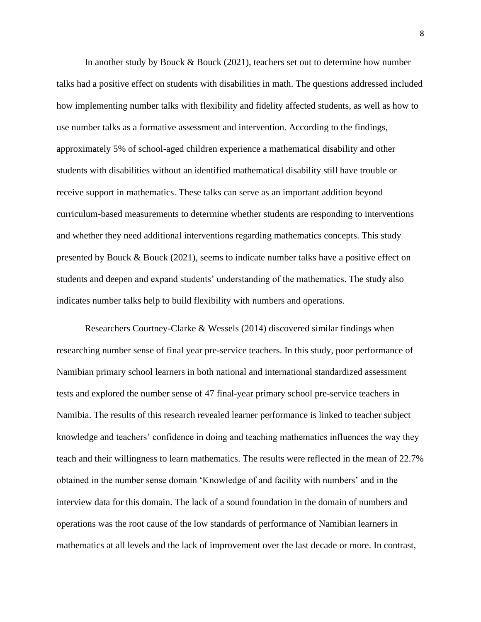In another study by Bouck & Bouck (2021), teachers set out to determine how number talks had a positive effect on students with disabilities in math. The questions addressed included how implementing number talks with flexibility and fidelity affected students, as well as how to use number talks as a formative assessment and intervention. According to the findings, approximately 5% of school-aged children experience a mathematical disability and other students with disabilities without an identified mathematical disability still have trouble or receive support in mathematics. These talks can serve as an important addition beyond curriculum-based measurements to determine whether students are responding to interventions and whether they need additional interventions regarding mathematics concepts. This study presented by Bouck & Bouck (2021), seems to indicate number talks have a positive effect on students and deepen and expand students' understanding of the mathematics. The study also indicates number talks help to build flexibility with numbers and operations.

Researchers Courtney-Clarke & Wessels (2014) discovered similar findings when researching number sense of final year pre-service teachers. In this study, poor performance of Namibian primary school learners in both national and international standardized assessment tests and explored the number sense of 47 final-year primary school pre-service teachers in Namibia. The results of this research revealed learner performance is linked to teacher subject knowledge and teachers' confidence in doing and teaching mathematics influences the way they teach and their willingness to learn mathematics. The results were reflected in the mean of 22.7% obtained in the number sense domain 'Knowledge of and facility with numbers' and in the interview data for this domain. The lack of a sound foundation in the domain of numbers and operations was the root cause of the low standards of performance of Namibian learners in mathematics at all levels and the lack of improvement over the last decade or more. In contrast,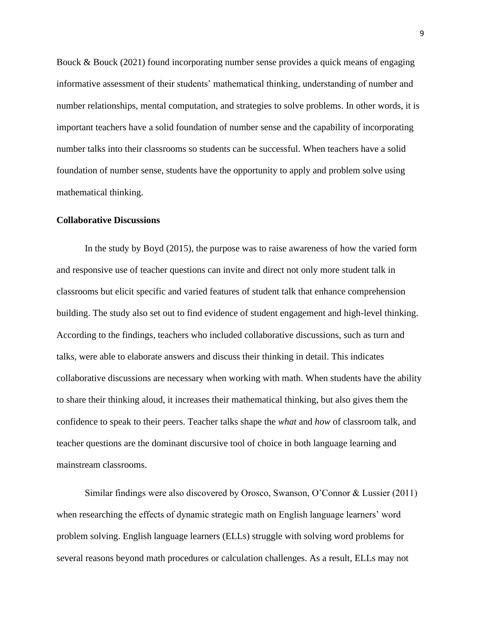Bouck & Bouck (2021) found incorporating number sense provides a quick means of engaging informative assessment of their students' mathematical thinking, understanding of number and number relationships, mental computation, and strategies to solve problems. In other words, it is important teachers have a solid foundation of number sense and the capability of incorporating number talks into their classrooms so students can be successful. When teachers have a solid foundation of number sense, students have the opportunity to apply and problem solve using mathematical thinking.

#### **Collaborative Discussions**

In the study by Boyd (2015), the purpose was to raise awareness of how the varied form and responsive use of teacher questions can invite and direct not only more student talk in classrooms but elicit specific and varied features of student talk that enhance comprehension building. The study also set out to find evidence of student engagement and high-level thinking. According to the findings, teachers who included collaborative discussions, such as turn and talks, were able to elaborate answers and discuss their thinking in detail. This indicates collaborative discussions are necessary when working with math. When students have the ability to share their thinking aloud, it increases their mathematical thinking, but also gives them the confidence to speak to their peers. Teacher talks shape the *what* and *how* of classroom talk, and teacher questions are the dominant discursive tool of choice in both language learning and mainstream classrooms.

Similar findings were also discovered by Orosco, Swanson, O'Connor & Lussier (2011) when researching the effects of dynamic strategic math on English language learners' word problem solving. English language learners (ELLs) struggle with solving word problems for several reasons beyond math procedures or calculation challenges. As a result, ELLs may not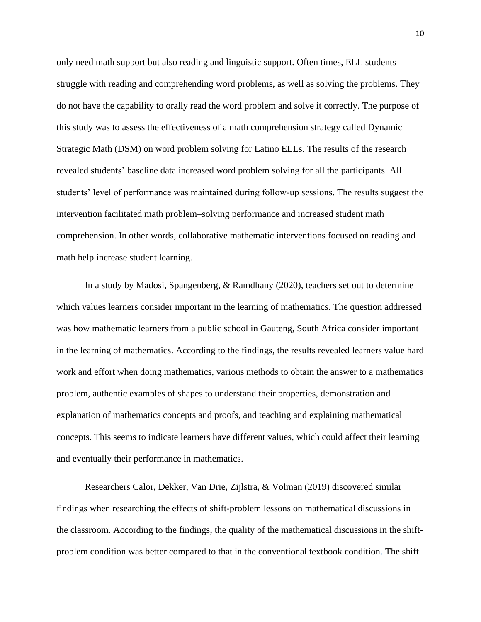only need math support but also reading and linguistic support. Often times, ELL students struggle with reading and comprehending word problems, as well as solving the problems. They do not have the capability to orally read the word problem and solve it correctly. The purpose of this study was to assess the effectiveness of a math comprehension strategy called Dynamic Strategic Math (DSM) on word problem solving for Latino ELLs. The results of the research revealed students' baseline data increased word problem solving for all the participants. All students' level of performance was maintained during follow-up sessions. The results suggest the intervention facilitated math problem–solving performance and increased student math comprehension. In other words, collaborative mathematic interventions focused on reading and math help increase student learning.

In a study by Madosi, Spangenberg, & Ramdhany (2020), teachers set out to determine which values learners [consider important in the learning of mathematics.](https://nwciowa.on.worldcat.org/search/detail/9241069366?queryString=english%20language%20learners%20fact%20fluency%20math&clusterResults=true&groupVariantRecords=false&subformat=Artchap%3A%3Aartchap_artcl&changedFacet=content&content=peerReviewed&year=2013..2022) The question addressed was how mathematic learners from a public school in Gauteng, South Africa consider important in the learning of mathematics. According to the findings, the results revealed learners value hard work and effort when doing mathematics, various methods to obtain the answer to a mathematics problem, authentic examples of shapes to understand their properties, demonstration and explanation of mathematics concepts and proofs, and teaching and explaining mathematical concepts. This seems to indicate learners have different values, which could affect their learning and eventually their performance in mathematics.

Researchers Calor, Dekker, Van Drie, Zijlstra, & Volman (2019) discovered similar findings when researching the effects of shift-problem lessons on mathematical discussions in the classroom. According to the findings, the quality of the mathematical discussions in the shiftproblem condition was better compared to that in the conventional textbook condition. The shift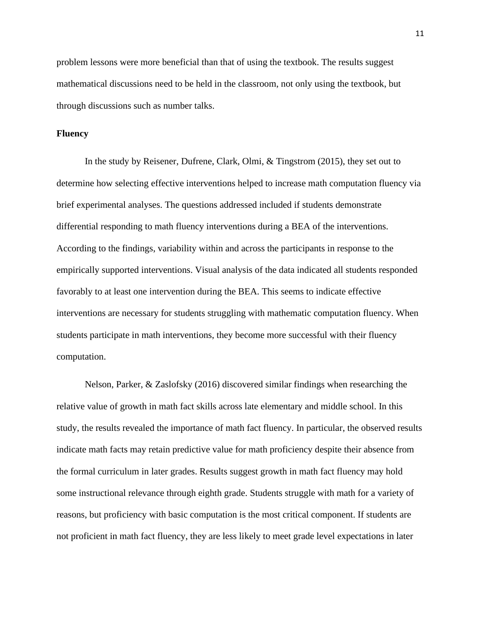problem lessons were more beneficial than that of using the textbook. The results suggest mathematical discussions need to be held in the classroom, not only using the textbook, but through discussions such as number talks.

#### **Fluency**

In the study by Reisener, Dufrene, Clark, Olmi, & Tingstrom (2015), they set out to determine how selecting effective interventions helped to increase math computation fluency via brief experimental analyses. The questions addressed included if students demonstrate differential responding to math fluency interventions during a BEA of the interventions. According to the findings, variability within and across the participants in response to the empirically supported interventions. Visual analysis of the data indicated all students responded favorably to at least one intervention during the BEA. This seems to indicate effective interventions are necessary for students struggling with mathematic computation fluency. When students participate in math interventions, they become more successful with their fluency computation.

Nelson, Parker, & Zaslofsky (2016) discovered similar findings when researching the relative value of growth in math fact skills across late elementary and middle school. In this study, the results revealed the importance of math fact fluency. In particular, the observed results indicate math facts may retain predictive value for math proficiency despite their absence from the formal curriculum in later grades. Results suggest growth in math fact fluency may hold some instructional relevance through eighth grade. Students struggle with math for a variety of reasons, but proficiency with basic computation is the most critical component. If students are not proficient in math fact fluency, they are less likely to meet grade level expectations in later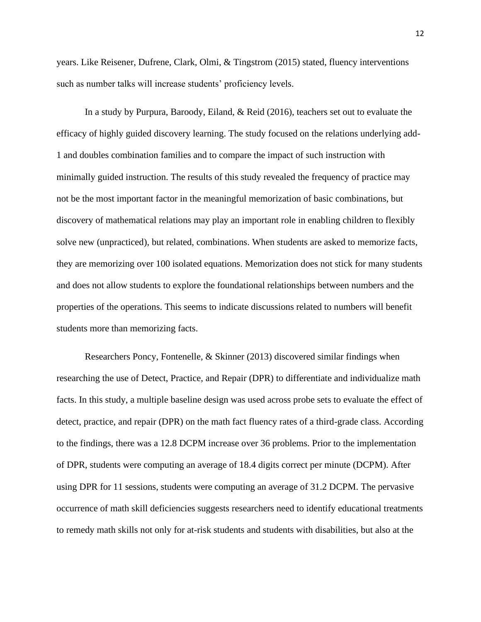years. Like Reisener, Dufrene, Clark, Olmi, & Tingstrom (2015) stated, fluency interventions such as number talks will increase students' proficiency levels.

In a study by Purpura, Baroody, Eiland, & Reid (2016), teachers set out to evaluate the efficacy of highly guided discovery learning. The study focused on the relations underlying add-1 and doubles combination families and to compare the impact of such instruction with minimally guided instruction. The results of this study revealed the frequency of practice may not be the most important factor in the meaningful memorization of basic combinations, but discovery of mathematical relations may play an important role in enabling children to flexibly solve new (unpracticed), but related, combinations. When students are asked to memorize facts, they are memorizing over 100 isolated equations. Memorization does not stick for many students and does not allow students to explore the foundational relationships between numbers and the properties of the operations. This seems to indicate discussions related to numbers will benefit students more than memorizing facts.

Researchers Poncy, Fontenelle, & Skinner (2013) discovered similar findings when researching the use of Detect, Practice, and Repair (DPR) to differentiate and individualize math facts. In this study, a multiple baseline design was used across probe sets to evaluate the effect of detect, practice, and repair (DPR) on the math fact fluency rates of a third-grade class. According to the findings, there was a 12.8 DCPM increase over 36 problems. Prior to the implementation of DPR, students were computing an average of 18.4 digits correct per minute (DCPM). After using DPR for 11 sessions, students were computing an average of 31.2 DCPM. The pervasive occurrence of math skill deficiencies suggests researchers need to identify educational treatments to remedy math skills not only for at-risk students and students with disabilities, but also at the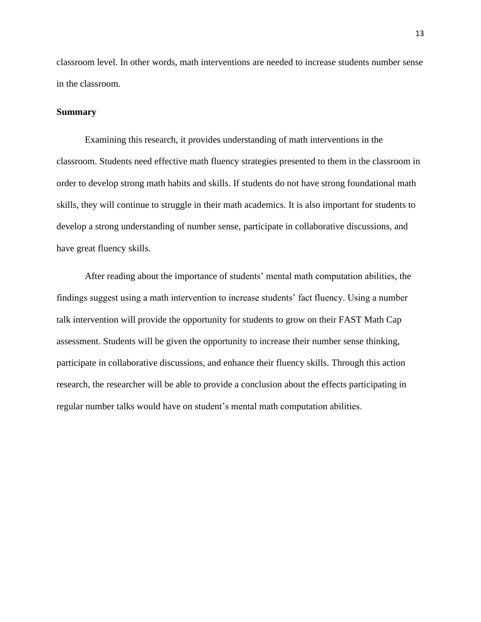classroom level. In other words, math interventions are needed to increase students number sense in the classroom.

#### **Summary**

Examining this research, it provides understanding of math interventions in the classroom. Students need effective math fluency strategies presented to them in the classroom in order to develop strong math habits and skills. If students do not have strong foundational math skills, they will continue to struggle in their math academics. It is also important for students to develop a strong understanding of number sense, participate in collaborative discussions, and have great fluency skills.

After reading about the importance of students' mental math computation abilities, the findings suggest using a math intervention to increase students' fact fluency. Using a number talk intervention will provide the opportunity for students to grow on their FAST Math Cap assessment. Students will be given the opportunity to increase their number sense thinking, participate in collaborative discussions, and enhance their fluency skills. Through this action research, the researcher will be able to provide a conclusion about the effects participating in regular number talks would have on student's mental math computation abilities.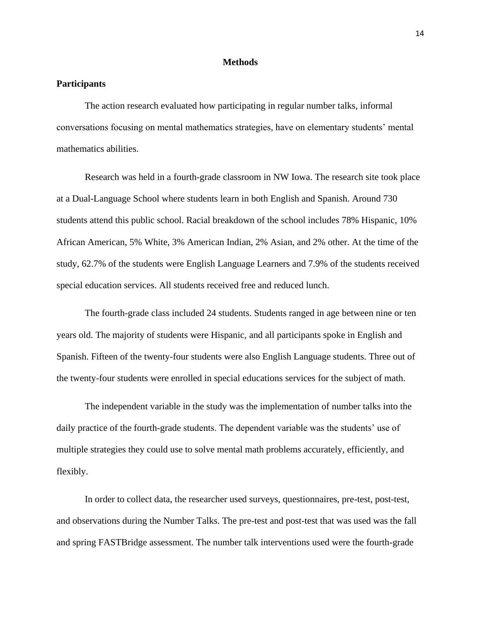#### **Methods**

#### <span id="page-14-1"></span><span id="page-14-0"></span>**Participants**

The action research evaluated how participating in regular number talks, informal conversations focusing on mental mathematics strategies, have on elementary students' mental mathematics abilities.

Research was held in a fourth-grade classroom in NW Iowa. The research site took place at a Dual-Language School where students learn in both English and Spanish. Around 730 students attend this public school. Racial breakdown of the school includes 78% Hispanic, 10% African American, 5% White, 3% American Indian, 2% Asian, and 2% other. At the time of the study, 62.7% of the students were English Language Learners and 7.9% of the students received special education services. All students received free and reduced lunch.

The fourth-grade class included 24 students. Students ranged in age between nine or ten years old. The majority of students were Hispanic, and all participants spoke in English and Spanish. Fifteen of the twenty-four students were also English Language students. Three out of the twenty-four students were enrolled in special educations services for the subject of math.

The independent variable in the study was the implementation of number talks into the daily practice of the fourth-grade students. The dependent variable was the students' use of multiple strategies they could use to solve mental math problems accurately, efficiently, and flexibly.

In order to collect data, the researcher used surveys, questionnaires, pre-test, post-test, and observations during the Number Talks. The pre-test and post-test that was used was the fall and spring FASTBridge assessment. The number talk interventions used were the fourth-grade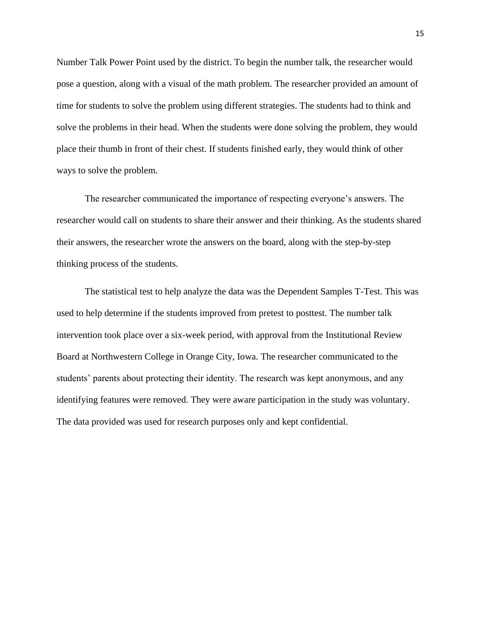Number Talk Power Point used by the district. To begin the number talk, the researcher would pose a question, along with a visual of the math problem. The researcher provided an amount of time for students to solve the problem using different strategies. The students had to think and solve the problems in their head. When the students were done solving the problem, they would place their thumb in front of their chest. If students finished early, they would think of other ways to solve the problem.

The researcher communicated the importance of respecting everyone's answers. The researcher would call on students to share their answer and their thinking. As the students shared their answers, the researcher wrote the answers on the board, along with the step-by-step thinking process of the students.

The statistical test to help analyze the data was the Dependent Samples T-Test. This was used to help determine if the students improved from pretest to posttest. The number talk intervention took place over a six-week period, with approval from the Institutional Review Board at Northwestern College in Orange City, Iowa. The researcher communicated to the students' parents about protecting their identity. The research was kept anonymous, and any identifying features were removed. They were aware participation in the study was voluntary. The data provided was used for research purposes only and kept confidential.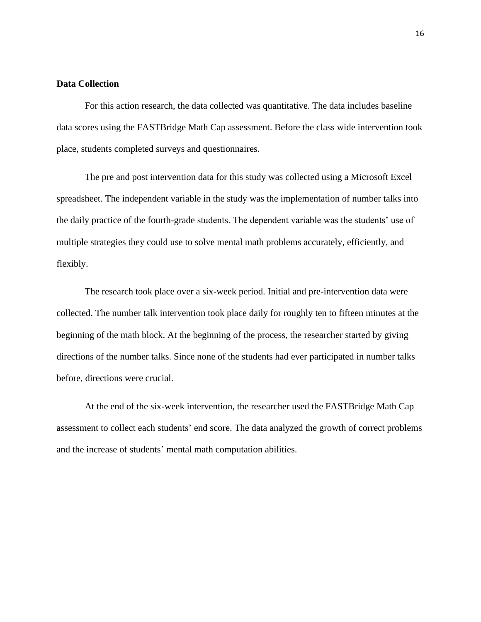#### <span id="page-16-0"></span>**Data Collection**

For this action research, the data collected was quantitative. The data includes baseline data scores using the FASTBridge Math Cap assessment. Before the class wide intervention took place, students completed surveys and questionnaires.

The pre and post intervention data for this study was collected using a Microsoft Excel spreadsheet. The independent variable in the study was the implementation of number talks into the daily practice of the fourth-grade students. The dependent variable was the students' use of multiple strategies they could use to solve mental math problems accurately, efficiently, and flexibly.

The research took place over a six-week period. Initial and pre-intervention data were collected. The number talk intervention took place daily for roughly ten to fifteen minutes at the beginning of the math block. At the beginning of the process, the researcher started by giving directions of the number talks. Since none of the students had ever participated in number talks before, directions were crucial.

At the end of the six-week intervention, the researcher used the FASTBridge Math Cap assessment to collect each students' end score. The data analyzed the growth of correct problems and the increase of students' mental math computation abilities.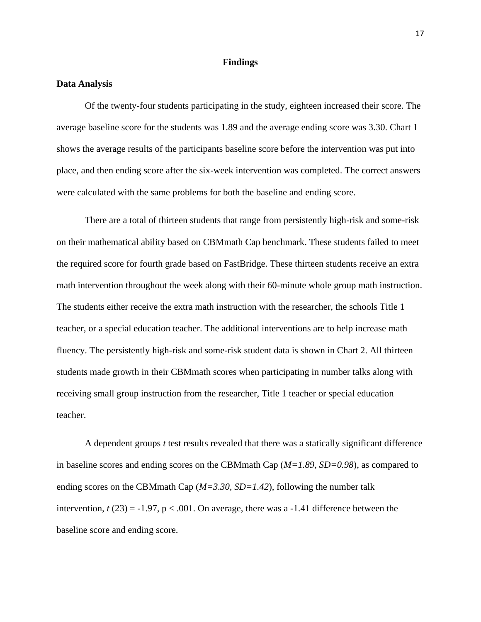#### **Findings**

#### <span id="page-17-1"></span><span id="page-17-0"></span>**Data Analysis**

Of the twenty-four students participating in the study, eighteen increased their score. The average baseline score for the students was 1.89 and the average ending score was 3.30. Chart 1 shows the average results of the participants baseline score before the intervention was put into place, and then ending score after the six-week intervention was completed. The correct answers were calculated with the same problems for both the baseline and ending score.

There are a total of thirteen students that range from persistently high-risk and some-risk on their mathematical ability based on CBMmath Cap benchmark. These students failed to meet the required score for fourth grade based on FastBridge. These thirteen students receive an extra math intervention throughout the week along with their 60-minute whole group math instruction. The students either receive the extra math instruction with the researcher, the schools Title 1 teacher, or a special education teacher. The additional interventions are to help increase math fluency. The persistently high-risk and some-risk student data is shown in Chart 2. All thirteen students made growth in their CBMmath scores when participating in number talks along with receiving small group instruction from the researcher, Title 1 teacher or special education teacher.

A dependent groups *t* test results revealed that there was a statically significant difference in baseline scores and ending scores on the CBMmath Cap (*M=1.89, SD=0.98*), as compared to ending scores on the CBMmath Cap (*M=3.30, SD=1.42*), following the number talk intervention,  $t(23) = -1.97$ ,  $p < .001$ . On average, there was a  $-1.41$  difference between the baseline score and ending score.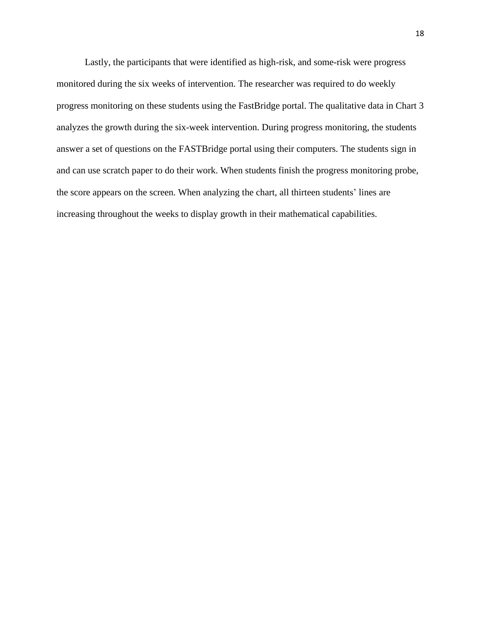Lastly, the participants that were identified as high-risk, and some-risk were progress monitored during the six weeks of intervention. The researcher was required to do weekly progress monitoring on these students using the FastBridge portal. The qualitative data in Chart 3 analyzes the growth during the six-week intervention. During progress monitoring, the students answer a set of questions on the FASTBridge portal using their computers. The students sign in and can use scratch paper to do their work. When students finish the progress monitoring probe, the score appears on the screen. When analyzing the chart, all thirteen students' lines are increasing throughout the weeks to display growth in their mathematical capabilities.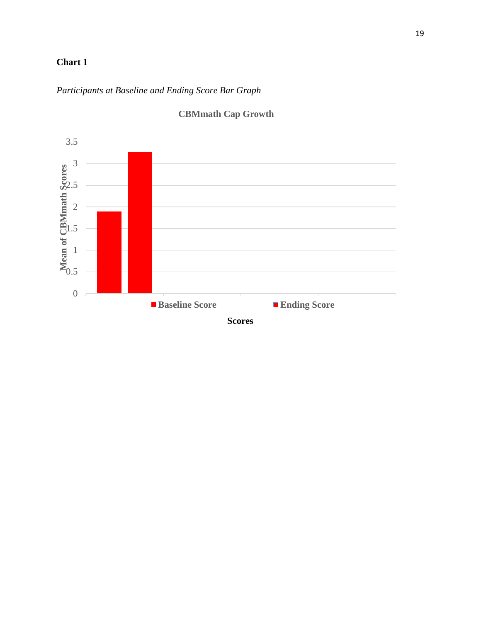### **Chart 1**

### *Participants at Baseline and Ending Score Bar Graph*



## **CBMmath Cap Growth**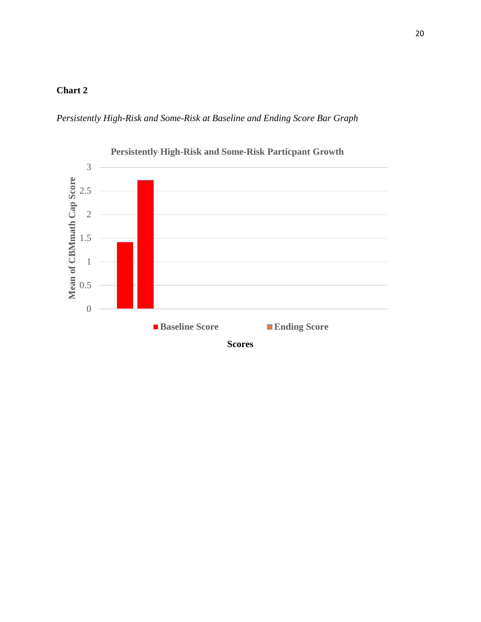### **Chart 2**

*Persistently High-Risk and Some-Risk at Baseline and Ending Score Bar Graph*



20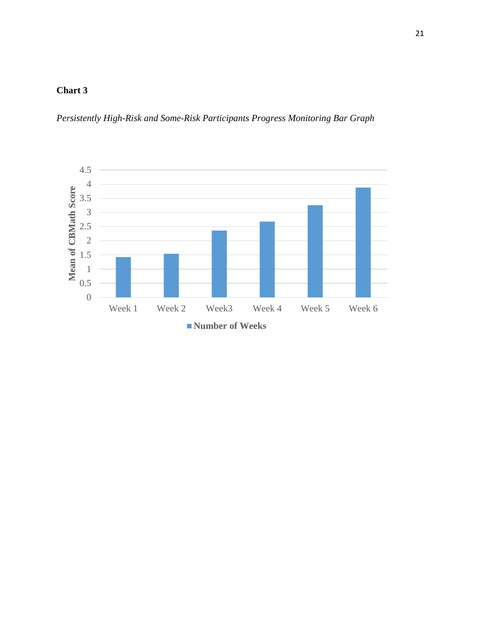### **Chart 3**

*Persistently High-Risk and Some-Risk Participants Progress Monitoring Bar Graph*

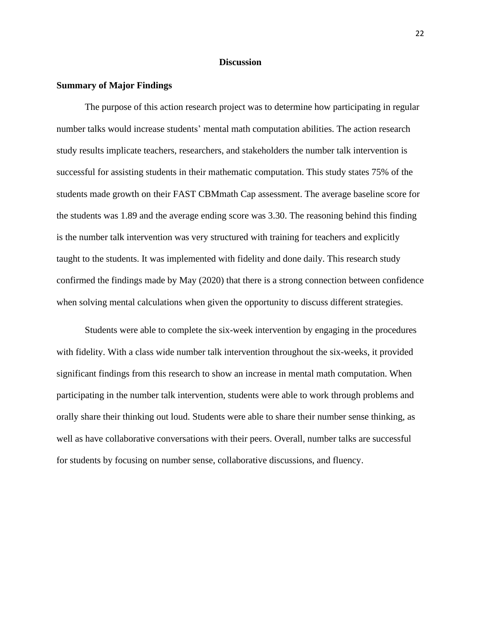#### **Discussion**

#### <span id="page-22-1"></span><span id="page-22-0"></span>**Summary of Major Findings**

The purpose of this action research project was to determine how participating in regular number talks would increase students' mental math computation abilities. The action research study results implicate teachers, researchers, and stakeholders the number talk intervention is successful for assisting students in their mathematic computation. This study states 75% of the students made growth on their FAST CBMmath Cap assessment. The average baseline score for the students was 1.89 and the average ending score was 3.30. The reasoning behind this finding is the number talk intervention was very structured with training for teachers and explicitly taught to the students. It was implemented with fidelity and done daily. This research study confirmed the findings made by May (2020) that there is a strong connection between confidence when solving mental calculations when given the opportunity to discuss different strategies.

Students were able to complete the six-week intervention by engaging in the procedures with fidelity. With a class wide number talk intervention throughout the six-weeks, it provided significant findings from this research to show an increase in mental math computation. When participating in the number talk intervention, students were able to work through problems and orally share their thinking out loud. Students were able to share their number sense thinking, as well as have collaborative conversations with their peers. Overall, number talks are successful for students by focusing on number sense, collaborative discussions, and fluency.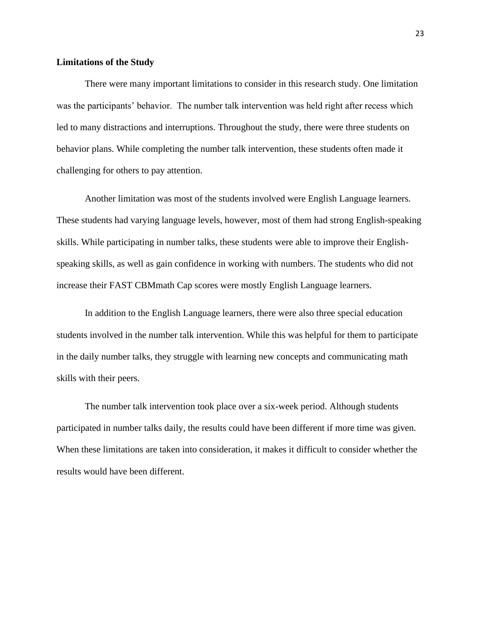#### <span id="page-23-0"></span>**Limitations of the Study**

There were many important limitations to consider in this research study. One limitation was the participants' behavior. The number talk intervention was held right after recess which led to many distractions and interruptions. Throughout the study, there were three students on behavior plans. While completing the number talk intervention, these students often made it challenging for others to pay attention.

Another limitation was most of the students involved were English Language learners. These students had varying language levels, however, most of them had strong English-speaking skills. While participating in number talks, these students were able to improve their Englishspeaking skills, as well as gain confidence in working with numbers. The students who did not increase their FAST CBMmath Cap scores were mostly English Language learners.

In addition to the English Language learners, there were also three special education students involved in the number talk intervention. While this was helpful for them to participate in the daily number talks, they struggle with learning new concepts and communicating math skills with their peers.

The number talk intervention took place over a six-week period. Although students participated in number talks daily, the results could have been different if more time was given. When these limitations are taken into consideration, it makes it difficult to consider whether the results would have been different.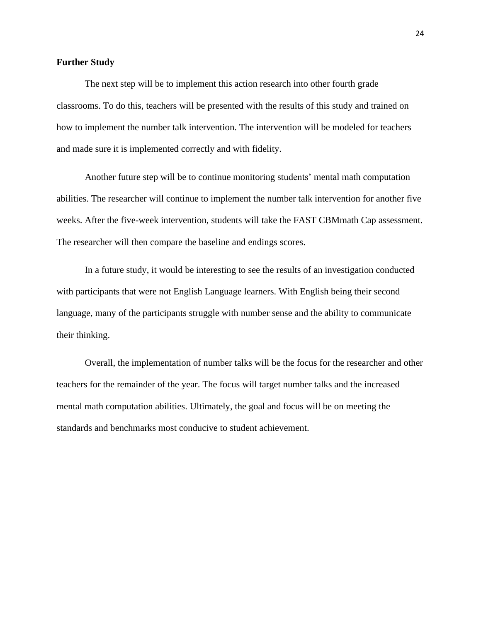#### <span id="page-24-0"></span>**Further Study**

The next step will be to implement this action research into other fourth grade classrooms. To do this, teachers will be presented with the results of this study and trained on how to implement the number talk intervention. The intervention will be modeled for teachers and made sure it is implemented correctly and with fidelity.

Another future step will be to continue monitoring students' mental math computation abilities. The researcher will continue to implement the number talk intervention for another five weeks. After the five-week intervention, students will take the FAST CBMmath Cap assessment. The researcher will then compare the baseline and endings scores.

In a future study, it would be interesting to see the results of an investigation conducted with participants that were not English Language learners. With English being their second language, many of the participants struggle with number sense and the ability to communicate their thinking.

Overall, the implementation of number talks will be the focus for the researcher and other teachers for the remainder of the year. The focus will target number talks and the increased mental math computation abilities. Ultimately, the goal and focus will be on meeting the standards and benchmarks most conducive to student achievement.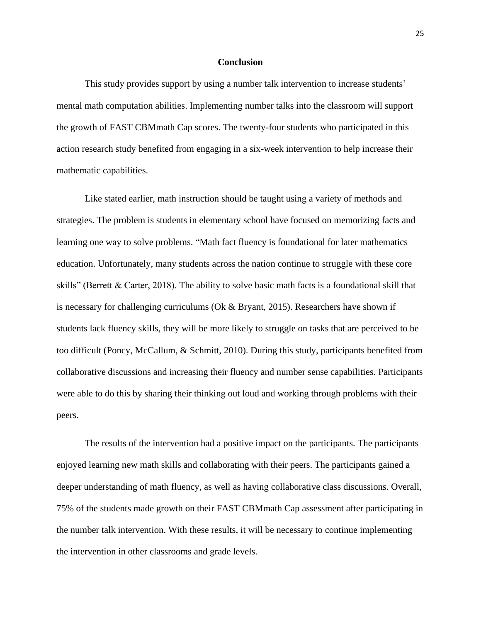#### **Conclusion**

<span id="page-25-0"></span>This study provides support by using a number talk intervention to increase students' mental math computation abilities. Implementing number talks into the classroom will support the growth of FAST CBMmath Cap scores. The twenty-four students who participated in this action research study benefited from engaging in a six-week intervention to help increase their mathematic capabilities.

Like stated earlier, math instruction should be taught using a variety of methods and strategies. The problem is students in elementary school have focused on memorizing facts and learning one way to solve problems. "Math fact fluency is foundational for later mathematics education. Unfortunately, many students across the nation continue to struggle with these core skills" (Berrett & Carter, 2018). The ability to solve basic math facts is a foundational skill that is necessary for challenging curriculums (Ok & Bryant, 2015). Researchers have shown if students lack fluency skills, they will be more likely to struggle on tasks that are perceived to be too difficult (Poncy, McCallum, & Schmitt, 2010). During this study, participants benefited from collaborative discussions and increasing their fluency and number sense capabilities. Participants were able to do this by sharing their thinking out loud and working through problems with their peers.

The results of the intervention had a positive impact on the participants. The participants enjoyed learning new math skills and collaborating with their peers. The participants gained a deeper understanding of math fluency, as well as having collaborative class discussions. Overall, 75% of the students made growth on their FAST CBMmath Cap assessment after participating in the number talk intervention. With these results, it will be necessary to continue implementing the intervention in other classrooms and grade levels.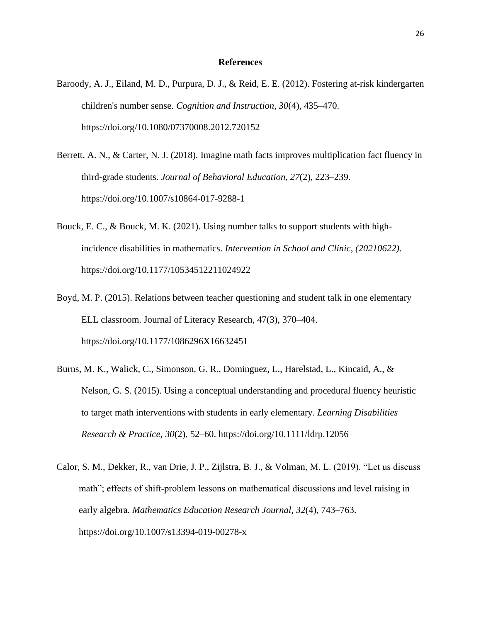#### **References**

- <span id="page-26-0"></span>Baroody, A. J., Eiland, M. D., Purpura, D. J., & Reid, E. E. (2012). Fostering at-risk kindergarten children's number sense. *Cognition and Instruction*, *30*(4), 435–470. https://doi.org/10.1080/07370008.2012.720152
- Berrett, A. N., & Carter, N. J. (2018). Imagine math facts improves multiplication fact fluency in third-grade students. *Journal of Behavioral Education*, *27*(2), 223–239. https://doi.org/10.1007/s10864-017-9288-1
- Bouck, E. C., & Bouck, M. K. (2021). Using number talks to support students with highincidence disabilities in mathematics. *Intervention in School and Clinic*, *(20210622)*. https://doi.org/10.1177/10534512211024922
- Boyd, M. P. (2015). Relations between teacher questioning and student talk in one elementary ELL classroom. Journal of Literacy Research, 47(3), 370–404. https://doi.org/10.1177/1086296X16632451
- Burns, M. K., Walick, C., Simonson, G. R., Dominguez, L., Harelstad, L., Kincaid, A., & Nelson, G. S. (2015). Using a conceptual understanding and procedural fluency heuristic to target math interventions with students in early elementary. *Learning Disabilities Research & Practice*, *30*(2), 52–60. https://doi.org/10.1111/ldrp.12056
- Calor, S. M., Dekker, R., van Drie, J. P., Zijlstra, B. J., & Volman, M. L. (2019). "Let us discuss math"; effects of shift‐problem lessons on mathematical discussions and level raising in early algebra. *Mathematics Education Research Journal*, *32*(4), 743–763. https://doi.org/10.1007/s13394-019-00278-x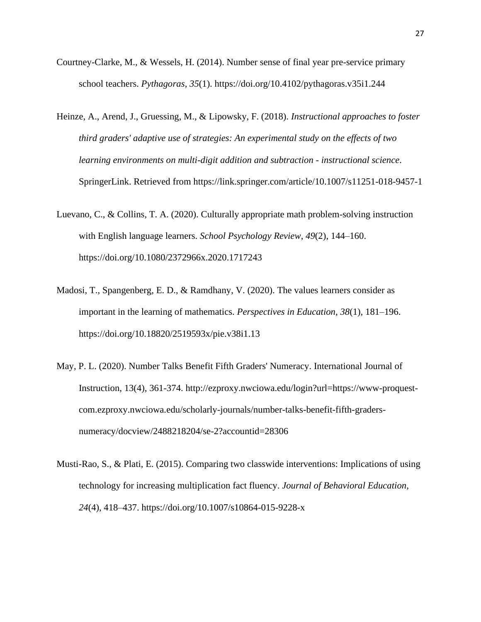- Courtney-Clarke, M., & Wessels, H. (2014). Number sense of final year pre-service primary school teachers. *Pythagoras*, *35*(1). https://doi.org/10.4102/pythagoras.v35i1.244
- Heinze, A., Arend, J., Gruessing, M., & Lipowsky, F. (2018). *Instructional approaches to foster third graders' adaptive use of strategies: An experimental study on the effects of two learning environments on multi-digit addition and subtraction - instructional science*. SpringerLink. Retrieved from https://link.springer.com/article/10.1007/s11251-018-9457-1
- Luevano, C., & Collins, T. A. (2020). Culturally appropriate math problem-solving instruction with English language learners. *School Psychology Review*, *49*(2), 144–160. https://doi.org/10.1080/2372966x.2020.1717243
- Madosi, T., Spangenberg, E. D., & Ramdhany, V. (2020). The values learners consider as important in the learning of mathematics. *Perspectives in Education*, *38*(1), 181–196. https://doi.org/10.18820/2519593x/pie.v38i1.13
- May, P. L. (2020). Number Talks Benefit Fifth Graders' Numeracy. International Journal of Instruction, 13(4), 361-374. http://ezproxy.nwciowa.edu/login?url=https://www-proquestcom.ezproxy.nwciowa.edu/scholarly-journals/number-talks-benefit-fifth-gradersnumeracy/docview/2488218204/se-2?accountid=28306
- Musti-Rao, S., & Plati, E. (2015). Comparing two classwide interventions: Implications of using technology for increasing multiplication fact fluency. *Journal of Behavioral Education*, *24*(4), 418–437. https://doi.org/10.1007/s10864-015-9228-x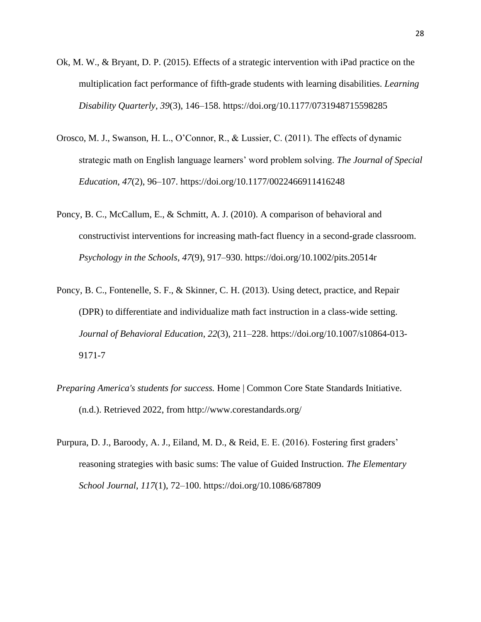- Ok, M. W., & Bryant, D. P. (2015). Effects of a strategic intervention with iPad practice on the multiplication fact performance of fifth-grade students with learning disabilities. *Learning Disability Quarterly*, *39*(3), 146–158. https://doi.org/10.1177/0731948715598285
- Orosco, M. J., Swanson, H. L., O'Connor, R., & Lussier, C. (2011). The effects of dynamic strategic math on English language learners' word problem solving. *The Journal of Special Education*, *47*(2), 96–107. https://doi.org/10.1177/0022466911416248
- Poncy, B. C., McCallum, E., & Schmitt, A. J. (2010). A comparison of behavioral and constructivist interventions for increasing math-fact fluency in a second-grade classroom. *Psychology in the Schools*, *47*(9), 917–930. https://doi.org/10.1002/pits.20514r
- Poncy, B. C., Fontenelle, S. F., & Skinner, C. H. (2013). Using detect, practice, and Repair (DPR) to differentiate and individualize math fact instruction in a class-wide setting. *Journal of Behavioral Education*, *22*(3), 211–228. https://doi.org/10.1007/s10864-013- 9171-7
- *Preparing America's students for success.* Home | Common Core State Standards Initiative. (n.d.). Retrieved 2022, from http://www.corestandards.org/
- Purpura, D. J., Baroody, A. J., Eiland, M. D., & Reid, E. E. (2016). Fostering first graders' reasoning strategies with basic sums: The value of Guided Instruction. *The Elementary School Journal*, *117*(1), 72–100. https://doi.org/10.1086/687809